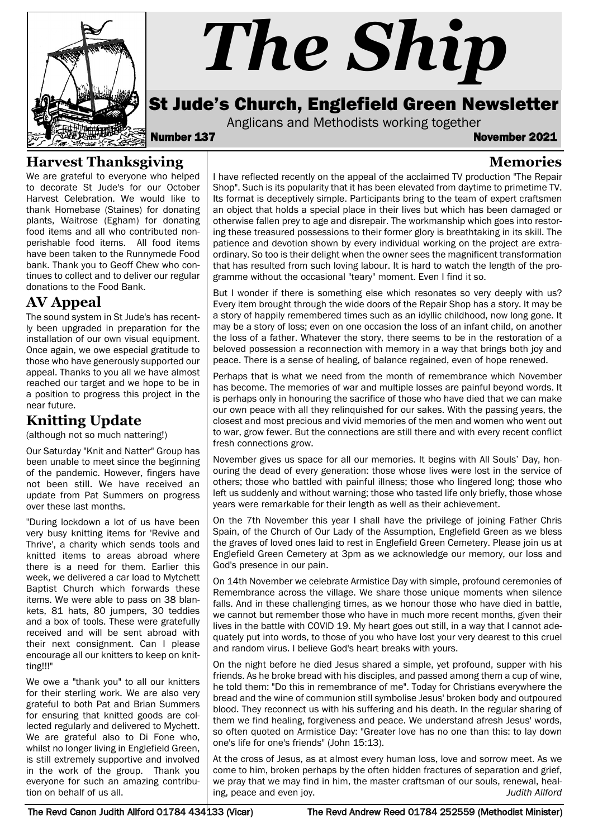

# *The Ship*

# St Jude's Church, Englefield Green Newsletter

Anglicans and Methodists working together<br>**Number 137** November 2021

**Memories**

### **Harvest Thanksgiving**

We are grateful to everyone who helped to decorate St Jude's for our October Harvest Celebration. We would like to thank Homebase (Staines) for donating plants, Waitrose (Egham) for donating food items and all who contributed nonperishable food items. All food items have been taken to the Runnymede Food bank. Thank you to Geoff Chew who continues to collect and to deliver our regular donations to the Food Bank.

## **AV Appeal**

The sound system in St Jude's has recently been upgraded in preparation for the installation of our own visual equipment. Once again, we owe especial gratitude to those who have generously supported our appeal. Thanks to you all we have almost reached our target and we hope to be in a position to progress this project in the near future.

## **Knitting Update**

(although not so much nattering!)

Our Saturday "Knit and Natter" Group has been unable to meet since the beginning of the pandemic. However, fingers have not been still. We have received an update from Pat Summers on progress over these last months.

"During lockdown a lot of us have been very busy knitting items for 'Revive and Thrive', a charity which sends tools and knitted items to areas abroad where there is a need for them. Earlier this week, we delivered a car load to Mytchett Baptist Church which forwards these items. We were able to pass on 38 blankets, 81 hats, 80 jumpers, 30 teddies and a box of tools. These were gratefully received and will be sent abroad with their next consignment. Can I please encourage all our knitters to keep on knitting!!!"

We owe a "thank you" to all our knitters for their sterling work. We are also very grateful to both Pat and Brian Summers for ensuring that knitted goods are collected regularly and delivered to Mychett. We are grateful also to Di Fone who, whilst no longer living in Englefield Green, is still extremely supportive and involved in the work of the group. Thank you everyone for such an amazing contribution on behalf of us all.

I have reflected recently on the appeal of the acclaimed TV production "The Repair Shop". Such is its popularity that it has been elevated from daytime to primetime TV. Its format is deceptively simple. Participants bring to the team of expert craftsmen an object that holds a special place in their lives but which has been damaged or otherwise fallen prey to age and disrepair. The workmanship which goes into restoring these treasured possessions to their former glory is breathtaking in its skill. The patience and devotion shown by every individual working on the project are extraordinary. So too is their delight when the owner sees the magnificent transformation that has resulted from such loving labour. It is hard to watch the length of the programme without the occasional "teary" moment. Even I find it so.

But I wonder if there is something else which resonates so very deeply with us? Every item brought through the wide doors of the Repair Shop has a story. It may be a story of happily remembered times such as an idyllic childhood, now long gone. It may be a story of loss; even on one occasion the loss of an infant child, on another the loss of a father. Whatever the story, there seems to be in the restoration of a beloved possession a reconnection with memory in a way that brings both joy and peace. There is a sense of healing, of balance regained, even of hope renewed.

Perhaps that is what we need from the month of remembrance which November has become. The memories of war and multiple losses are painful beyond words. It is perhaps only in honouring the sacrifice of those who have died that we can make our own peace with all they relinquished for our sakes. With the passing years, the closest and most precious and vivid memories of the men and women who went out to war, grow fewer. But the connections are still there and with every recent conflict fresh connections grow.

November gives us space for all our memories. It begins with All Souls' Day, honouring the dead of every generation: those whose lives were lost in the service of others; those who battled with painful illness; those who lingered long; those who left us suddenly and without warning; those who tasted life only briefly, those whose years were remarkable for their length as well as their achievement.

On the 7th November this year I shall have the privilege of joining Father Chris Spain, of the Church of Our Lady of the Assumption, Englefield Green as we bless the graves of loved ones laid to rest in Englefield Green Cemetery. Please join us at Englefield Green Cemetery at 3pm as we acknowledge our memory, our loss and God's presence in our pain.

On 14th November we celebrate Armistice Day with simple, profound ceremonies of Remembrance across the village. We share those unique moments when silence falls. And in these challenging times, as we honour those who have died in battle, we cannot but remember those who have in much more recent months, given their lives in the battle with COVID 19. My heart goes out still, in a way that I cannot adequately put into words, to those of you who have lost your very dearest to this cruel and random virus. I believe God's heart breaks with yours.

On the night before he died Jesus shared a simple, yet profound, supper with his friends. As he broke bread with his disciples, and passed among them a cup of wine, he told them: "Do this in remembrance of me". Today for Christians everywhere the bread and the wine of communion still symbolise Jesus' broken body and outpoured blood. They reconnect us with his suffering and his death. In the regular sharing of them we find healing, forgiveness and peace. We understand afresh Jesus' words, so often quoted on Armistice Day: "Greater love has no one than this: to lay down one's life for one's friends" (John 15:13).

At the cross of Jesus, as at almost every human loss, love and sorrow meet. As we come to him, broken perhaps by the often hidden fractures of separation and grief, we pray that we may find in him, the master craftsman of our souls, renewal, healing, peace and even joy. *Judith Allford*